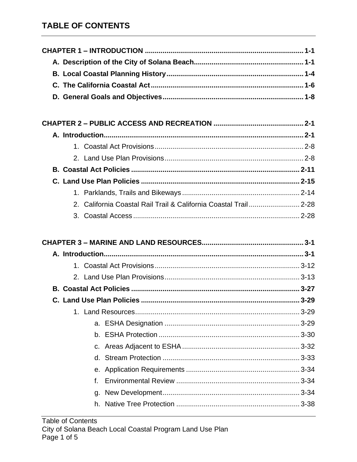| 2. California Coastal Rail Trail & California Coastal Trail 2-28 |      |
|------------------------------------------------------------------|------|
|                                                                  |      |
|                                                                  |      |
|                                                                  |      |
|                                                                  |      |
|                                                                  |      |
|                                                                  |      |
|                                                                  |      |
|                                                                  |      |
|                                                                  |      |
|                                                                  |      |
| <b>LACELA Drotoction</b>                                         | ാ ാറ |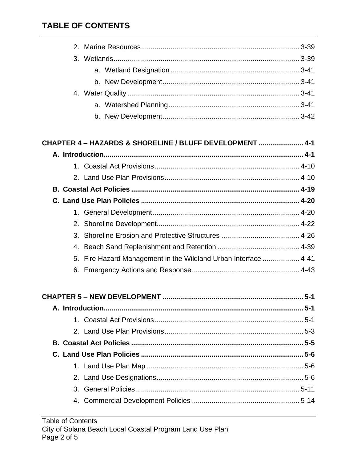| CHAPTER 4 - HAZARDS & SHORELINE / BLUFF DEVELOPMENT  4-1 |  |
|----------------------------------------------------------|--|
|                                                          |  |
|                                                          |  |
|                                                          |  |
|                                                          |  |
|                                                          |  |
|                                                          |  |

|  | 5. Fire Hazard Management in the Wildland Urban Interface  4-41 |  |
|--|-----------------------------------------------------------------|--|
|  |                                                                 |  |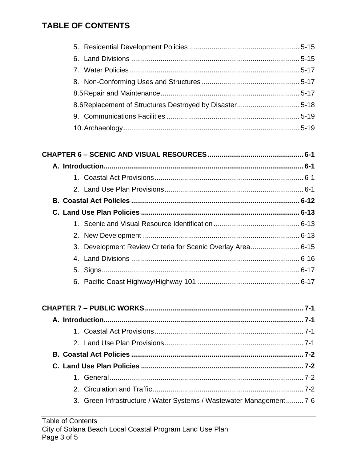| 3. Development Review Criteria for Scenic Overlay Area 6-15 |  |
|-------------------------------------------------------------|--|
|                                                             |  |
|                                                             |  |
|                                                             |  |

| 3. Green Infrastructure / Water Systems / Wastewater Management 7-6 |  |
|---------------------------------------------------------------------|--|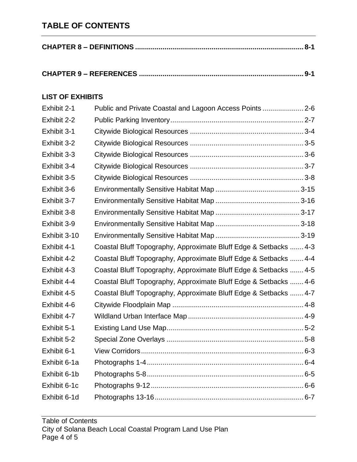#### **LIST OF EXHIBITS**

| Exhibit 2-1  | Public and Private Coastal and Lagoon Access Points  2-6         |
|--------------|------------------------------------------------------------------|
| Exhibit 2-2  |                                                                  |
| Exhibit 3-1  |                                                                  |
| Exhibit 3-2  |                                                                  |
| Exhibit 3-3  |                                                                  |
| Exhibit 3-4  |                                                                  |
| Exhibit 3-5  |                                                                  |
| Exhibit 3-6  |                                                                  |
| Exhibit 3-7  |                                                                  |
| Exhibit 3-8  |                                                                  |
| Exhibit 3-9  |                                                                  |
| Exhibit 3-10 |                                                                  |
| Exhibit 4-1  | Coastal Bluff Topography, Approximate Bluff Edge & Setbacks  4-3 |
| Exhibit 4-2  | Coastal Bluff Topography, Approximate Bluff Edge & Setbacks  4-4 |
| Exhibit 4-3  | Coastal Bluff Topography, Approximate Bluff Edge & Setbacks  4-5 |
| Exhibit 4-4  | Coastal Bluff Topography, Approximate Bluff Edge & Setbacks  4-6 |
| Exhibit 4-5  | Coastal Bluff Topography, Approximate Bluff Edge & Setbacks  4-7 |
| Exhibit 4-6  |                                                                  |
| Exhibit 4-7  |                                                                  |
| Exhibit 5-1  |                                                                  |
| Exhibit 5-2  |                                                                  |
| Exhibit 6-1  |                                                                  |
| Exhibit 6-1a |                                                                  |
| Exhibit 6-1b |                                                                  |
| Exhibit 6-1c |                                                                  |
| Exhibit 6-1d |                                                                  |